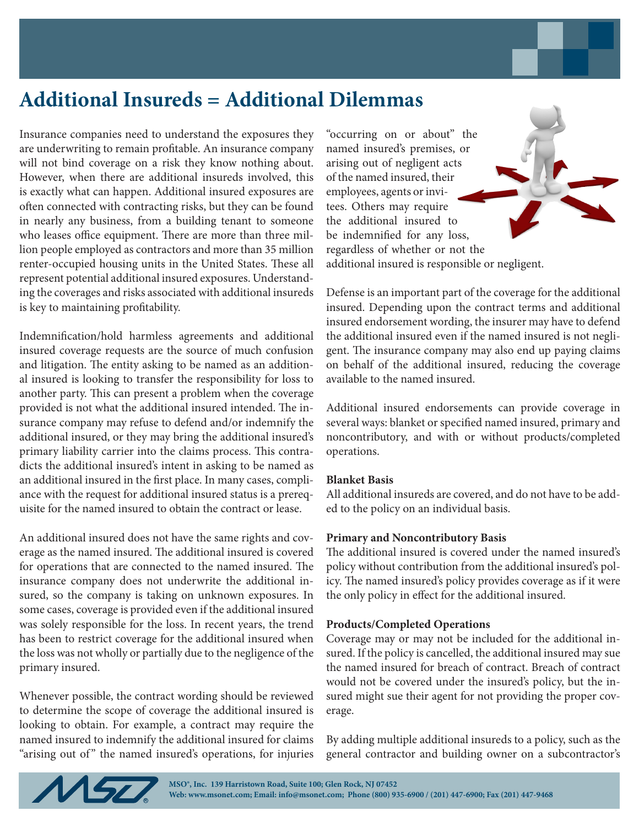## **Additional Insureds = Additional Dilemmas**

Insurance companies need to understand the exposures they are underwriting to remain profitable. An insurance company will not bind coverage on a risk they know nothing about. However, when there are additional insureds involved, this is exactly what can happen. Additional insured exposures are often connected with contracting risks, but they can be found in nearly any business, from a building tenant to someone who leases office equipment. There are more than three million people employed as contractors and more than 35 million renter-occupied housing units in the United States. These all represent potential additional insured exposures. Understanding the coverages and risks associated with additional insureds is key to maintaining profitability.

Indemnification/hold harmless agreements and additional insured coverage requests are the source of much confusion and litigation. The entity asking to be named as an additional insured is looking to transfer the responsibility for loss to another party. This can present a problem when the coverage provided is not what the additional insured intended. The insurance company may refuse to defend and/or indemnify the additional insured, or they may bring the additional insured's primary liability carrier into the claims process. This contradicts the additional insured's intent in asking to be named as an additional insured in the first place. In many cases, compliance with the request for additional insured status is a prerequisite for the named insured to obtain the contract or lease.

An additional insured does not have the same rights and coverage as the named insured. The additional insured is covered for operations that are connected to the named insured. The insurance company does not underwrite the additional insured, so the company is taking on unknown exposures. In some cases, coverage is provided even if the additional insured was solely responsible for the loss. In recent years, the trend has been to restrict coverage for the additional insured when the loss was not wholly or partially due to the negligence of the primary insured.

Whenever possible, the contract wording should be reviewed to determine the scope of coverage the additional insured is looking to obtain. For example, a contract may require the named insured to indemnify the additional insured for claims "arising out of" the named insured's operations, for injuries "occurring on or about" the named insured's premises, or arising out of negligent acts of the named insured, their employees, agents or invitees. Others may require the additional insured to be indemnified for any loss, regardless of whether or not the additional insured is responsible or negligent.

Defense is an important part of the coverage for the additional insured. Depending upon the contract terms and additional insured endorsement wording, the insurer may have to defend the additional insured even if the named insured is not negligent. The insurance company may also end up paying claims on behalf of the additional insured, reducing the coverage available to the named insured.

Additional insured endorsements can provide coverage in several ways: blanket or specified named insured, primary and noncontributory, and with or without products/completed operations.

## **Blanket Basis**

All additional insureds are covered, and do not have to be added to the policy on an individual basis.

## **Primary and Noncontributory Basis**

The additional insured is covered under the named insured's policy without contribution from the additional insured's policy. The named insured's policy provides coverage as if it were the only policy in effect for the additional insured.

## **Products/Completed Operations**

Coverage may or may not be included for the additional insured. If the policy is cancelled, the additional insured may sue the named insured for breach of contract. Breach of contract would not be covered under the insured's policy, but the insured might sue their agent for not providing the proper coverage.

By adding multiple additional insureds to a policy, such as the general contractor and building owner on a subcontractor's